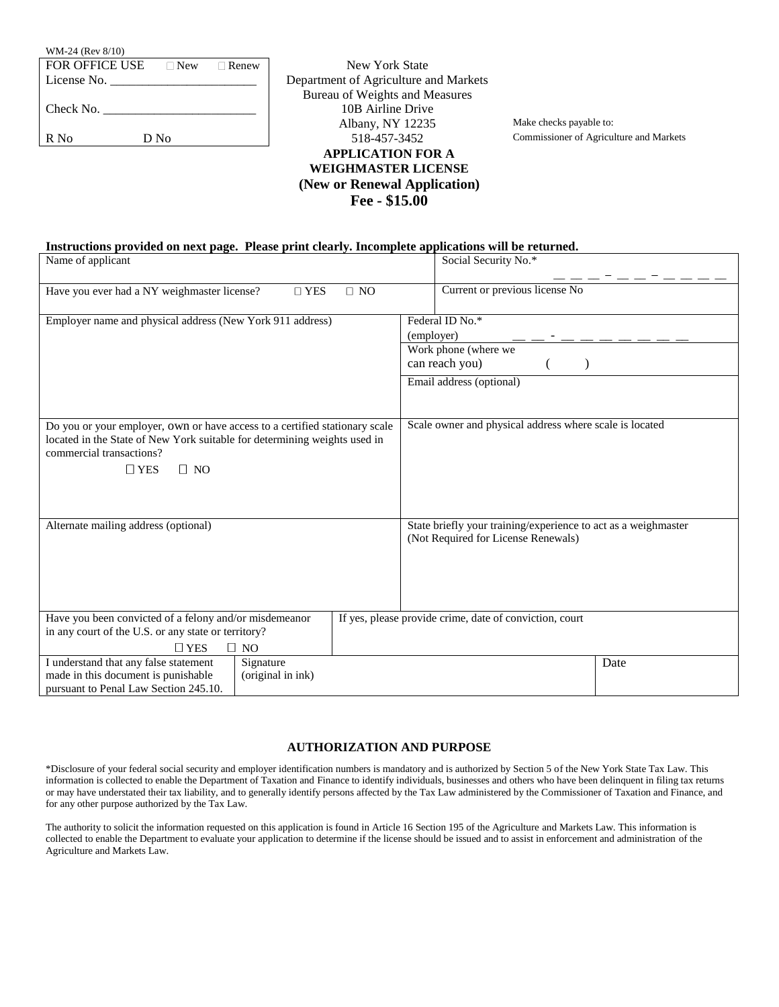| WM-24 (Rev 8/10)      |            |         |  |
|-----------------------|------------|---------|--|
| <b>FOR OFFICE USE</b> | $\Box$ New | □ Renew |  |
| License No. $\_\_$    |            |         |  |
| Check No.             |            |         |  |
| R No                  | D No       |         |  |

**New York State** Department of Agriculture and Markets Bureau of Weights and Measures 10B Airline Drive Albany, NY 12235 Make checks payable to: 518-457-3452 Commissioner of Agriculture and Markets **APPLICATION FOR A WEIGHMASTER LICENSE (New or Renewal Application) Fee - \$15.00**

## **Instructions provided on next page. Please print clearly. Incomplete applications will be returned.**

| Name of applicant                                                                                                                                                                                               | Social Security No.*                                                                                             |
|-----------------------------------------------------------------------------------------------------------------------------------------------------------------------------------------------------------------|------------------------------------------------------------------------------------------------------------------|
| Have you ever had a NY weighmaster license?<br>$\square$ YES<br>$\Box$ NO                                                                                                                                       | Current or previous license No                                                                                   |
| Employer name and physical address (New York 911 address)                                                                                                                                                       | Federal ID No.*<br>(employer)<br>Work phone (where we<br>can reach you)<br>$\lambda$<br>Email address (optional) |
| Do you or your employer, own or have access to a certified stationary scale<br>located in the State of New York suitable for determining weights used in<br>commercial transactions?<br>$\Box$ YES<br>$\Box$ NO | Scale owner and physical address where scale is located                                                          |
| Alternate mailing address (optional)                                                                                                                                                                            | State briefly your training/experience to act as a weighmaster<br>(Not Required for License Renewals)            |
| Have you been convicted of a felony and/or misdemeanor<br>in any court of the U.S. or any state or territory?<br>$\Box$ NO<br>$\Box$ YES                                                                        | If yes, please provide crime, date of conviction, court                                                          |
| I understand that any false statement<br>Signature<br>made in this document is punishable<br>(original in ink)<br>pursuant to Penal Law Section 245.10.                                                         | Date                                                                                                             |

## **AUTHORIZATION AND PURPOSE**

\*Disclosure of your federal social security and employer identification numbers is mandatory and is authorized by Section 5 of the New York State Tax Law. This information is collected to enable the Department of Taxation and Finance to identify individuals, businesses and others who have been delinquent in filing tax returns or may have understated their tax liability, and to generally identify persons affected by the Tax Law administered by the Commissioner of Taxation and Finance, and for any other purpose authorized by the Tax Law.

The authority to solicit the information requested on this application is found in Article 16 Section 195 of the Agriculture and Markets Law. This information is collected to enable the Department to evaluate your application to determine if the license should be issued and to assist in enforcement and administration of the Agriculture and Markets Law.